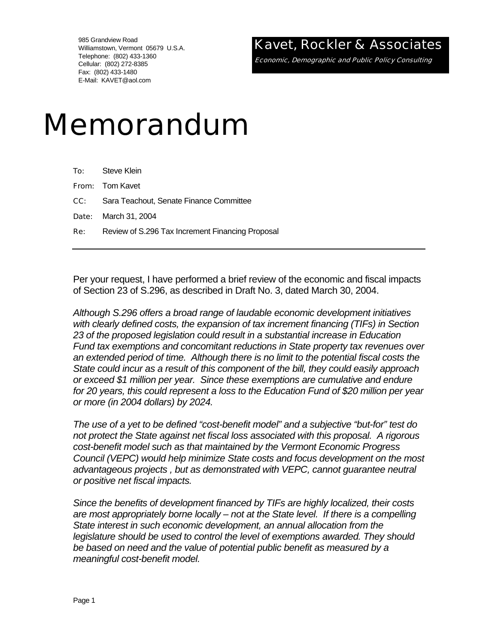985 Grandview Road Williamstown, Vermont 05679 U.S.A. Telephone: (802) 433-1360 Cellular: (802) 272-8385 Fax: (802) 433-1480 E-Mail: KAVET@aol.com

## Kavet, Rockler & Associates

Economic, Demographic and Public Policy Consulting

# Memorandum

|            | <b>To:</b> Steve Klein                             |
|------------|----------------------------------------------------|
|            | <b>From:</b> Tom Kavet                             |
|            | <b>CC:</b> Sara Teachout, Senate Finance Committee |
|            | <b>Date:</b> March 31, 2004                        |
| <b>Re:</b> | Review of S.296 Tax Increment Financing Proposal   |
|            |                                                    |

Per your request, I have performed a brief review of the economic and fiscal impacts of Section 23 of S.296, as described in Draft No. 3, dated March 30, 2004.

*Although S.296 offers a broad range of laudable economic development initiatives with clearly defined costs, the expansion of tax increment financing (TIFs) in Section 23 of the proposed legislation could result in a substantial increase in Education Fund tax exemptions and concomitant reductions in State property tax revenues over an extended period of time. Although there is no limit to the potential fiscal costs the State could incur as a result of this component of the bill, they could easily approach or exceed \$1 million per year. Since these exemptions are cumulative and endure for 20 years, this could represent a loss to the Education Fund of \$20 million per year or more (in 2004 dollars) by 2024.* 

*The use of a yet to be defined "cost-benefit model" and a subjective "but-for" test do not protect the State against net fiscal loss associated with this proposal. A rigorous cost-benefit model such as that maintained by the Vermont Economic Progress Council (VEPC) would help minimize State costs and focus development on the most advantageous projects , but as demonstrated with VEPC, cannot guarantee neutral or positive net fiscal impacts.* 

*Since the benefits of development financed by TIFs are highly localized, their costs are most appropriately borne locally – not at the State level. If there is a compelling State interest in such economic development, an annual allocation from the*  legislature should be used to control the level of exemptions awarded. They should *be based on need and the value of potential public benefit as measured by a meaningful cost-benefit model.*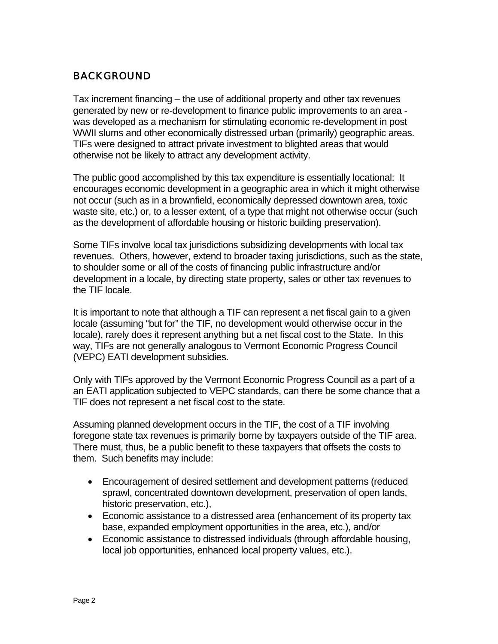### BACKGROUND

Tax increment financing – the use of additional property and other tax revenues generated by new or re-development to finance public improvements to an area was developed as a mechanism for stimulating economic re-development in post WWII slums and other economically distressed urban (primarily) geographic areas. TIFs were designed to attract private investment to blighted areas that would otherwise not be likely to attract any development activity.

The public good accomplished by this tax expenditure is essentially locational: It encourages economic development in a geographic area in which it might otherwise not occur (such as in a brownfield, economically depressed downtown area, toxic waste site, etc.) or, to a lesser extent, of a type that might not otherwise occur (such as the development of affordable housing or historic building preservation).

Some TIFs involve local tax jurisdictions subsidizing developments with local tax revenues. Others, however, extend to broader taxing jurisdictions, such as the state, to shoulder some or all of the costs of financing public infrastructure and/or development in a locale, by directing state property, sales or other tax revenues to the TIF locale.

It is important to note that although a TIF can represent a net fiscal gain to a given locale (assuming "but for" the TIF, no development would otherwise occur in the locale), rarely does it represent anything but a net fiscal cost to the State. In this way, TIFs are not generally analogous to Vermont Economic Progress Council (VEPC) EATI development subsidies.

Only with TIFs approved by the Vermont Economic Progress Council as a part of a an EATI application subjected to VEPC standards, can there be some chance that a TIF does not represent a net fiscal cost to the state.

Assuming planned development occurs in the TIF, the cost of a TIF involving foregone state tax revenues is primarily borne by taxpayers outside of the TIF area. There must, thus, be a public benefit to these taxpayers that offsets the costs to them. Such benefits may include:

- Encouragement of desired settlement and development patterns (reduced sprawl, concentrated downtown development, preservation of open lands, historic preservation, etc.),
- Economic assistance to a distressed area (enhancement of its property tax base, expanded employment opportunities in the area, etc.), and/or
- Economic assistance to distressed individuals (through affordable housing, local job opportunities, enhanced local property values, etc.).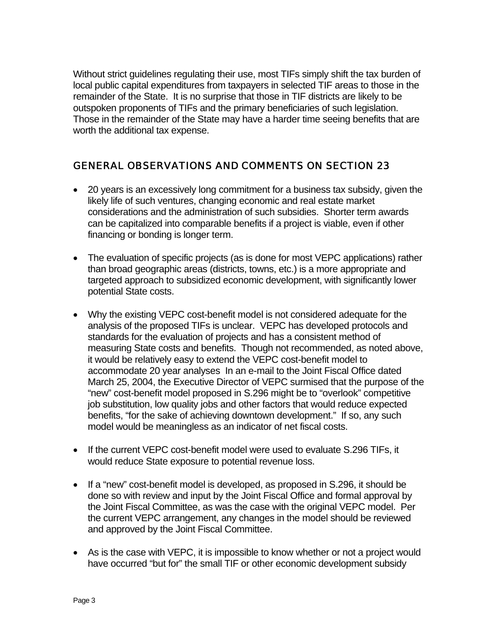Without strict guidelines regulating their use, most TIFs simply shift the tax burden of local public capital expenditures from taxpayers in selected TIF areas to those in the remainder of the State. It is no surprise that those in TIF districts are likely to be outspoken proponents of TIFs and the primary beneficiaries of such legislation. Those in the remainder of the State may have a harder time seeing benefits that are worth the additional tax expense.

### GENERAL OBSERVATIONS AND COMMENTS ON SECTION 23

- 20 years is an excessively long commitment for a business tax subsidy, given the likely life of such ventures, changing economic and real estate market considerations and the administration of such subsidies. Shorter term awards can be capitalized into comparable benefits if a project is viable, even if other financing or bonding is longer term.
- The evaluation of specific projects (as is done for most VEPC applications) rather than broad geographic areas (districts, towns, etc.) is a more appropriate and targeted approach to subsidized economic development, with significantly lower potential State costs.
- Why the existing VEPC cost-benefit model is not considered adequate for the analysis of the proposed TIFs is unclear. VEPC has developed protocols and standards for the evaluation of projects and has a consistent method of measuring State costs and benefits. Though not recommended, as noted above, it would be relatively easy to extend the VEPC cost-benefit model to accommodate 20 year analyses In an e-mail to the Joint Fiscal Office dated March 25, 2004, the Executive Director of VEPC surmised that the purpose of the "new" cost-benefit model proposed in S.296 might be to "overlook" competitive job substitution, low quality jobs and other factors that would reduce expected benefits, "for the sake of achieving downtown development." If so, any such model would be meaningless as an indicator of net fiscal costs.
- If the current VEPC cost-benefit model were used to evaluate S.296 TIFs, it would reduce State exposure to potential revenue loss.
- If a "new" cost-benefit model is developed, as proposed in S.296, it should be done so with review and input by the Joint Fiscal Office and formal approval by the Joint Fiscal Committee, as was the case with the original VEPC model. Per the current VEPC arrangement, any changes in the model should be reviewed and approved by the Joint Fiscal Committee.
- As is the case with VEPC, it is impossible to know whether or not a project would have occurred "but for" the small TIF or other economic development subsidy